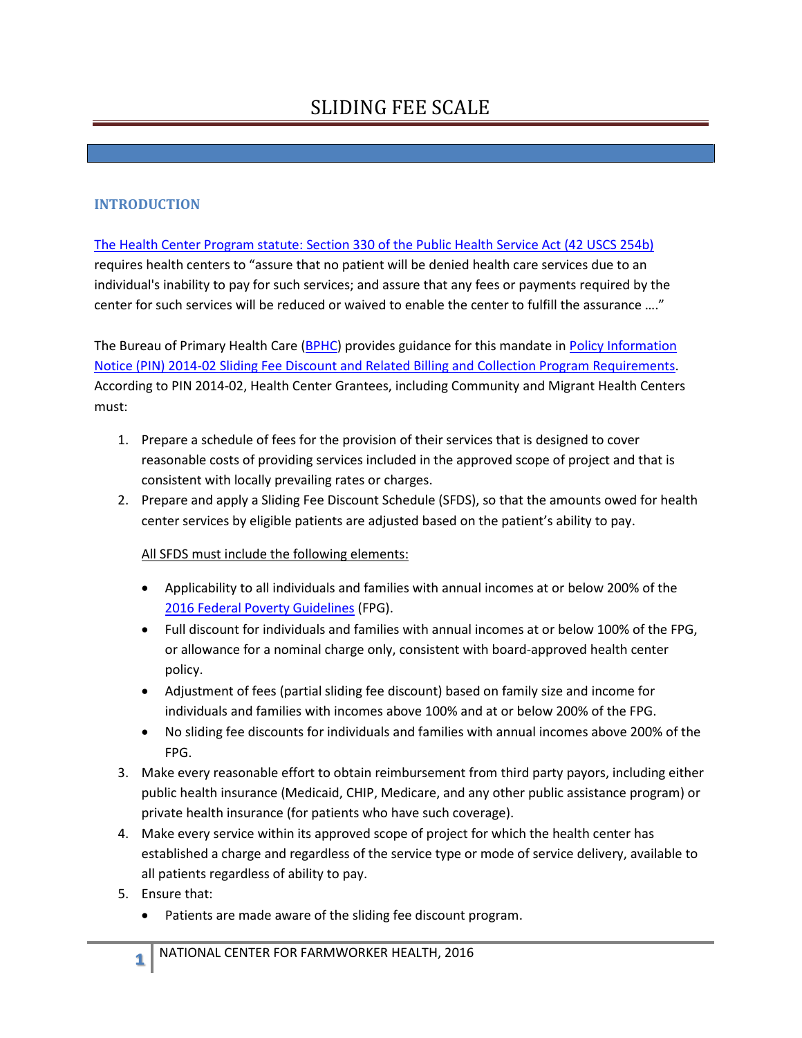## SLIDING FEE SCALE

## **INTRODUCTION**

[The Health Center Program statute: Section 330 of the Public Health Service Act \(42 USCS 254b\)](http://uscode.house.gov/view.xhtml?edition=prelim&req=42+usc+254b&f=treesort&fq=true&num=20&hl=true)  requires health centers to "assure that no patient will be denied health care services due to an individual's inability to pay for such services; and assure that any fees or payments required by the center for such services will be reduced or waived to enable the center to fulfill the assurance …."

The Bureau of Primary Health Care [\(BPHC\)](http://bphc.hrsa.gov/) provides guidance for this mandate i[n Policy Information](http://bphc.hrsa.gov/programopportunities/lookalike/pdfs/pin201401.pdf)  [Notice \(PIN\) 2014-02 Sliding Fee Discount and Related Billing and Collection Program Requirements.](http://bphc.hrsa.gov/programopportunities/lookalike/pdfs/pin201401.pdf) According to PIN 2014-02, Health Center Grantees, including Community and Migrant Health Centers must:

- 1. Prepare a schedule of fees for the provision of their services that is designed to cover reasonable costs of providing services included in the approved scope of project and that is consistent with locally prevailing rates or charges.
- 2. Prepare and apply a Sliding Fee Discount Schedule (SFDS), so that the amounts owed for health center services by eligible patients are adjusted based on the patient's ability to pay.

All SFDS must include the following elements:

- Applicability to all individuals and families with annual incomes at or below 200% of th[e](https://aspe.hhs.gov/poverty-guidelines)  [2016 Federal Poverty Guidelines](https://aspe.hhs.gov/poverty-guidelines) (FPG).
- Full discount for individuals and families with annual incomes at or below 100% of the FPG, or allowance for a nominal charge only, consistent with board-approved health center policy.
- Adjustment of fees (partial sliding fee discount) based on family size and income for individuals and families with incomes above 100% and at or below 200% of the FPG.
- No sliding fee discounts for individuals and families with annual incomes above 200% of the FPG.
- 3. Make every reasonable effort to obtain reimbursement from third party payors, including either public health insurance (Medicaid, CHIP, Medicare, and any other public assistance program) or private health insurance (for patients who have such coverage).
- 4. Make every service within its approved scope of project for which the health center has established a charge and regardless of the service type or mode of service delivery, available to all patients regardless of ability to pay.
- 5. Ensure that:
	- Patients are made aware of the sliding fee discount program.